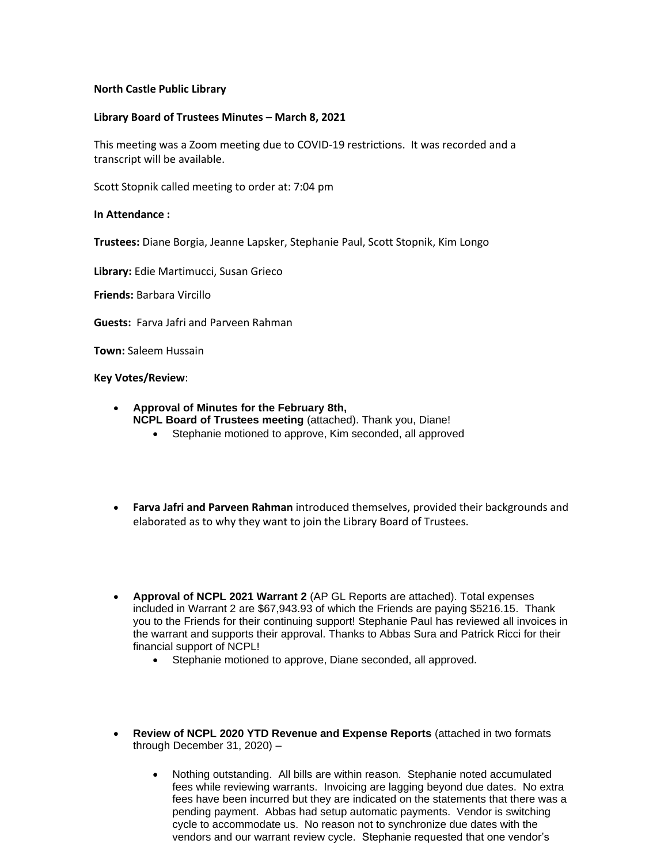## **North Castle Public Library**

## **Library Board of Trustees Minutes – March 8, 2021**

This meeting was a Zoom meeting due to COVID-19 restrictions. It was recorded and a transcript will be available.

Scott Stopnik called meeting to order at: 7:04 pm

## **In Attendance :**

**Trustees:** Diane Borgia, Jeanne Lapsker, Stephanie Paul, Scott Stopnik, Kim Longo

**Library:** Edie Martimucci, Susan Grieco

**Friends:** Barbara Vircillo

**Guests:** Farva Jafri and Parveen Rahman

**Town:** Saleem Hussain

**Key Votes/Review**:

- **Approval of Minutes for the February 8th, NCPL Board of Trustees meeting** (attached). Thank you, Diane!
	- Stephanie motioned to approve, Kim seconded, all approved
- **Farva Jafri and Parveen Rahman** introduced themselves, provided their backgrounds and elaborated as to why they want to join the Library Board of Trustees.
- **Approval of NCPL 2021 Warrant 2** (AP GL Reports are attached). Total expenses included in Warrant 2 are \$67,943.93 of which the Friends are paying \$5216.15. Thank you to the Friends for their continuing support! Stephanie Paul has reviewed all invoices in the warrant and supports their approval. Thanks to Abbas Sura and Patrick Ricci for their financial support of NCPL!
	- Stephanie motioned to approve, Diane seconded, all approved.
- **Review of NCPL 2020 YTD Revenue and Expense Reports** (attached in two formats through December 31, 2020) –
	- Nothing outstanding. All bills are within reason. Stephanie noted accumulated fees while reviewing warrants. Invoicing are lagging beyond due dates. No extra fees have been incurred but they are indicated on the statements that there was a pending payment. Abbas had setup automatic payments. Vendor is switching cycle to accommodate us. No reason not to synchronize due dates with the vendors and our warrant review cycle. Stephanie requested that one vendor's